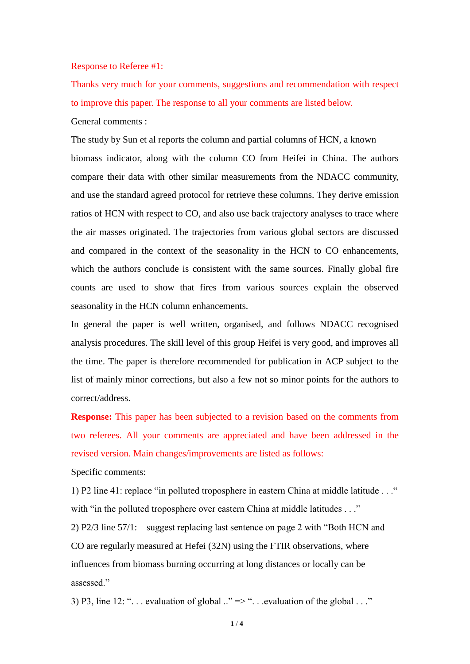## Response to Referee #1:

Thanks very much for your comments, suggestions and recommendation with respect to improve this paper. The response to all your comments are listed below. General comments :

The study by Sun et al reports the column and partial columns of HCN, a known biomass indicator, along with the column CO from Heifei in China. The authors compare their data with other similar measurements from the NDACC community, and use the standard agreed protocol for retrieve these columns. They derive emission ratios of HCN with respect to CO, and also use back trajectory analyses to trace where the air masses originated. The trajectories from various global sectors are discussed and compared in the context of the seasonality in the HCN to CO enhancements, which the authors conclude is consistent with the same sources. Finally global fire counts are used to show that fires from various sources explain the observed seasonality in the HCN column enhancements.

In general the paper is well written, organised, and follows NDACC recognised analysis procedures. The skill level of this group Heifei is very good, and improves all the time. The paper is therefore recommended for publication in ACP subject to the list of mainly minor corrections, but also a few not so minor points for the authors to correct/address.

**Response:** This paper has been subjected to a revision based on the comments from two referees. All your comments are appreciated and have been addressed in the revised version. Main changes/improvements are listed as follows:

Specific comments:

1) P2 line 41: replace "in polluted troposphere in eastern China at middle latitude . . ." with "in the polluted troposphere over eastern China at middle latitudes . . ."

2) P2/3 line 57/1: suggest replacing last sentence on page 2 with "Both HCN and CO are regularly measured at Hefei (32N) using the FTIR observations, where influences from biomass burning occurring at long distances or locally can be assessed."

3) P3, line 12: "... evaluation of global  $\therefore$   $\Rightarrow$  "... evaluation of the global ..."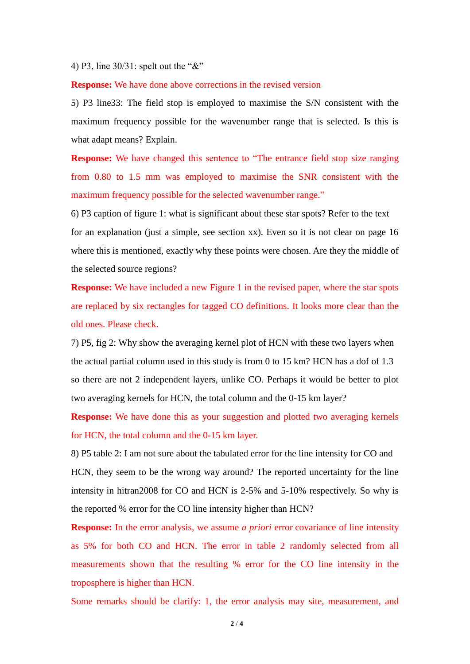## 4) P3, line 30/31: spelt out the "&"

## **Response:** We have done above corrections in the revised version

5) P3 line33: The field stop is employed to maximise the S/N consistent with the maximum frequency possible for the wavenumber range that is selected. Is this is what adapt means? Explain.

**Response:** We have changed this sentence to "The entrance field stop size ranging from 0.80 to 1.5 mm was employed to maximise the SNR consistent with the maximum frequency possible for the selected wavenumber range."

6) P3 caption of figure 1: what is significant about these star spots? Refer to the text for an explanation (just a simple, see section xx). Even so it is not clear on page 16 where this is mentioned, exactly why these points were chosen. Are they the middle of the selected source regions?

**Response:** We have included a new Figure 1 in the revised paper, where the star spots are replaced by six rectangles for tagged CO definitions. It looks more clear than the old ones. Please check.

7) P5, fig 2: Why show the averaging kernel plot of HCN with these two layers when the actual partial column used in this study is from 0 to 15 km? HCN has a dof of 1.3 so there are not 2 independent layers, unlike CO. Perhaps it would be better to plot two averaging kernels for HCN, the total column and the 0-15 km layer?

**Response:** We have done this as your suggestion and plotted two averaging kernels for HCN, the total column and the 0-15 km layer.

8) P5 table 2: I am not sure about the tabulated error for the line intensity for CO and HCN, they seem to be the wrong way around? The reported uncertainty for the line intensity in hitran2008 for CO and HCN is 2-5% and 5-10% respectively. So why is the reported % error for the CO line intensity higher than HCN?

**Response:** In the error analysis, we assume *a priori* error covariance of line intensity as 5% for both CO and HCN. The error in table 2 randomly selected from all measurements shown that the resulting % error for the CO line intensity in the troposphere is higher than HCN.

Some remarks should be clarify: 1, the error analysis may site, measurement, and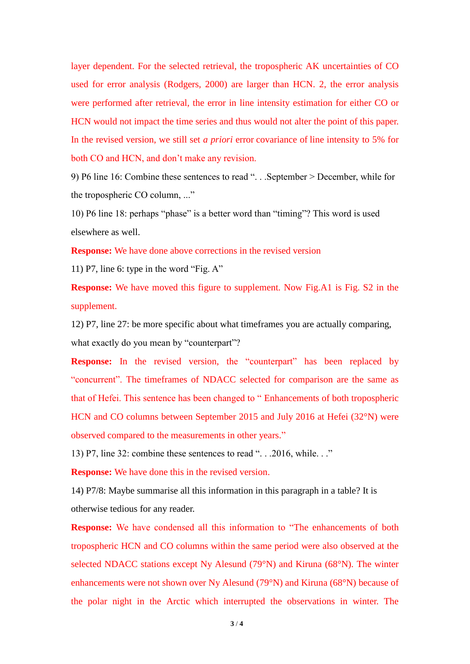layer dependent. For the selected retrieval, the tropospheric AK uncertainties of CO used for error analysis (Rodgers, 2000) are larger than HCN. 2, the error analysis were performed after retrieval, the error in line intensity estimation for either CO or HCN would not impact the time series and thus would not alter the point of this paper. In the revised version, we still set *a priori* error covariance of line intensity to 5% for both CO and HCN, and don't make any revision.

9) P6 line 16: Combine these sentences to read ". . .September > December, while for the tropospheric CO column, ..."

10) P6 line 18: perhaps "phase" is a better word than "timing"? This word is used elsewhere as well.

**Response:** We have done above corrections in the revised version

11) P7, line 6: type in the word "Fig. A"

**Response:** We have moved this figure to supplement. Now Fig.A1 is Fig. S2 in the supplement.

12) P7, line 27: be more specific about what timeframes you are actually comparing, what exactly do you mean by "counterpart"?

**Response:** In the revised version, the "counterpart" has been replaced by "concurrent". The timeframes of NDACC selected for comparison are the same as that of Hefei. This sentence has been changed to " Enhancements of both tropospheric HCN and CO columns between September 2015 and July 2016 at Hefei (32°N) were observed compared to the measurements in other years."

13) P7, line 32: combine these sentences to read ". . .2016, while. . ."

**Response:** We have done this in the revised version.

14) P7/8: Maybe summarise all this information in this paragraph in a table? It is otherwise tedious for any reader.

**Response:** We have condensed all this information to "The enhancements of both tropospheric HCN and CO columns within the same period were also observed at the selected NDACC stations except Ny Alesund (79°N) and Kiruna (68°N). The winter enhancements were not shown over Ny Alesund (79°N) and Kiruna (68°N) because of the polar night in the Arctic which interrupted the observations in winter. The